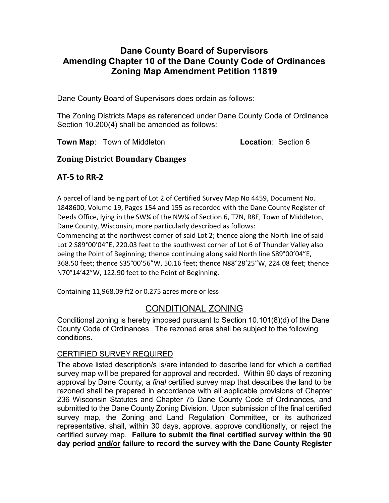## Dane County Board of Supervisors Amending Chapter 10 of the Dane County Code of Ordinances Zoning Map Amendment Petition 11819

Dane County Board of Supervisors does ordain as follows:

The Zoning Districts Maps as referenced under Dane County Code of Ordinance Section 10.200(4) shall be amended as follows:

**Town Map:** Town of Middleton **Location:** Section 6

### Zoning District Boundary Changes

## AT-5 to RR-2

A parcel of land being part of Lot 2 of Certified Survey Map No 4459, Document No. 1848600, Volume 19, Pages 154 and 155 as recorded with the Dane County Register of Deeds Office, lying in the SW¼ of the NW¼ of Section 6, T7N, R8E, Town of Middleton, Dane County, Wisconsin, more particularly described as follows:

Commencing at the northwest corner of said Lot 2; thence along the North line of said Lot 2 S89°00'04"E, 220.03 feet to the southwest corner of Lot 6 of Thunder Valley also being the Point of Beginning; thence continuing along said North line S89°00'04"E, 368.50 feet; thence S35°00'56"W, 50.16 feet; thence N88°28'25"W, 224.08 feet; thence N70°14'42"W, 122.90 feet to the Point of Beginning.

Containing 11,968.09 ft2 or 0.275 acres more or less

# CONDITIONAL ZONING

Conditional zoning is hereby imposed pursuant to Section 10.101(8)(d) of the Dane County Code of Ordinances. The rezoned area shall be subject to the following conditions.

#### CERTIFIED SURVEY REQUIRED

The above listed description/s is/are intended to describe land for which a certified survey map will be prepared for approval and recorded. Within 90 days of rezoning approval by Dane County, a final certified survey map that describes the land to be rezoned shall be prepared in accordance with all applicable provisions of Chapter 236 Wisconsin Statutes and Chapter 75 Dane County Code of Ordinances, and submitted to the Dane County Zoning Division. Upon submission of the final certified survey map, the Zoning and Land Regulation Committee, or its authorized representative, shall, within 30 days, approve, approve conditionally, or reject the certified survey map. Failure to submit the final certified survey within the 90 day period and/or failure to record the survey with the Dane County Register